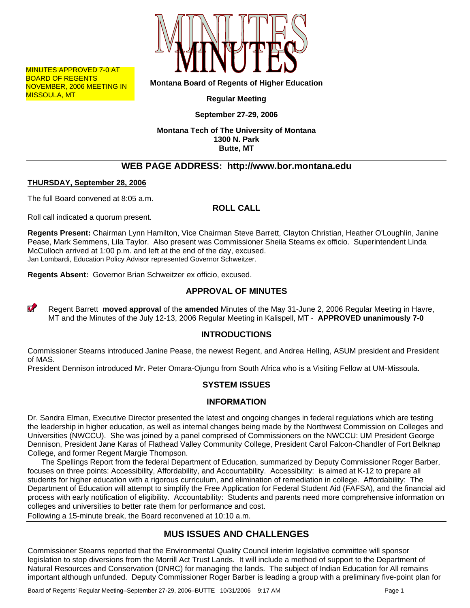

MINUTES APPROVED 7-0 AT BOARD OF REGENTS NOVEMBER, 2006 MEETING IN MISSOULA, MT

**Montana Board of Regents of Higher Education** 

**Regular Meeting** 

**September 27-29, 2006** 

**Montana Tech of The University of Montana 1300 N. Park Butte, MT** 

# **WEB PAGE ADDRESS: http://www.bor.montana.edu**

### **THURSDAY, September 28, 2006**

The full Board convened at 8:05 a.m.

**ROLL CALL** 

Roll call indicated a quorum present.

**Regents Present:** Chairman Lynn Hamilton, Vice Chairman Steve Barrett, Clayton Christian, Heather O'Loughlin, Janine Pease, Mark Semmens, Lila Taylor. Also present was Commissioner Sheila Stearns ex officio. Superintendent Linda McCulloch arrived at 1:00 p.m. and left at the end of the day, excused. Jan Lombardi, Education Policy Advisor represented Governor Schweitzer.

**Regents Absent:** Governor Brian Schweitzer ex officio, excused.

# **APPROVAL OF MINUTES**

 $\boldsymbol{v}$ Regent Barrett **moved approval** of the **amended** Minutes of the May 31-June 2, 2006 Regular Meeting in Havre, MT and the Minutes of the July 12-13, 2006 Regular Meeting in Kalispell, MT - **APPROVED unanimously 7-0** 

### **INTRODUCTIONS**

Commissioner Stearns introduced Janine Pease, the newest Regent, and Andrea Helling, ASUM president and President of MAS.

President Dennison introduced Mr. Peter Omara-Ojungu from South Africa who is a Visiting Fellow at UM-Missoula.

# **SYSTEM ISSUES**

### **INFORMATION**

Dr. Sandra Elman, Executive Director presented the latest and ongoing changes in federal regulations which are testing the leadership in higher education, as well as internal changes being made by the Northwest Commission on Colleges and Universities (NWCCU). She was joined by a panel comprised of Commissioners on the NWCCU: UM President George Dennison, President Jane Karas of Flathead Valley Community College, President Carol Falcon-Chandler of Fort Belknap College, and former Regent Margie Thompson.

The Spellings Report from the federal Department of Education, summarized by Deputy Commissioner Roger Barber, focuses on three points: Accessibility, Affordability, and Accountability. Accessibility: is aimed at K-12 to prepare all students for higher education with a rigorous curriculum, and elimination of remediation in college. Affordability: The Department of Education will attempt to simplify the Free Application for Federal Student Aid (FAFSA), and the financial aid process with early notification of eligibility. Accountability: Students and parents need more comprehensive information on colleges and universities to better rate them for performance and cost.

Following a 15-minute break, the Board reconvened at 10:10 a.m.

# **MUS ISSUES AND CHALLENGES**

Commissioner Stearns reported that the Environmental Quality Council interim legislative committee will sponsor legislation to stop diversions from the Morrill Act Trust Lands. It will include a method of support to the Department of Natural Resources and Conservation (DNRC) for managing the lands. The subject of Indian Education for All remains important although unfunded. Deputy Commissioner Roger Barber is leading a group with a preliminary five-point plan for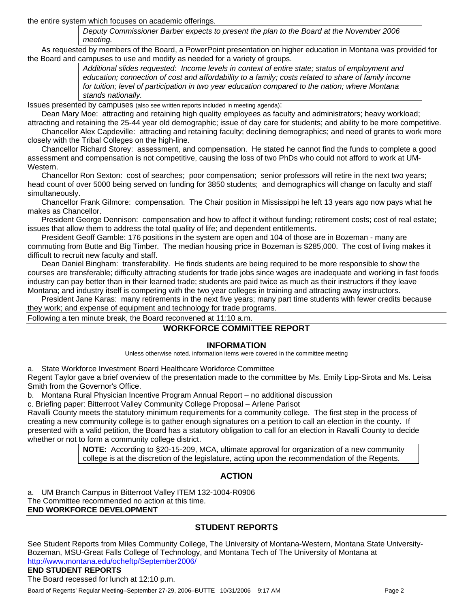the entire system which focuses on academic offerings.

*Deputy Commissioner Barber expects to present the plan to the Board at the November 2006 meeting.* 

As requested by members of the Board, a PowerPoint presentation on higher education in Montana was provided for the Board and campuses to use and modify as needed for a variety of groups.

> *Additional slides requested: Income levels in context of entire state; status of employment and education; connection of cost and affordability to a family; costs related to share of family income for tuition; level of participation in two year education compared to the nation; where Montana stands nationally.*

Issues presented by campuses (also see written reports included in meeting agenda):

Dean Mary Moe: attracting and retaining high quality employees as faculty and administrators; heavy workload; attracting and retaining the 25-44 year old demographic; issue of day care for students; and ability to be more competitive.

Chancellor Alex Capdeville: attracting and retaining faculty; declining demographics; and need of grants to work more closely with the Tribal Colleges on the high-line.

Chancellor Richard Storey: assessment, and compensation. He stated he cannot find the funds to complete a good assessment and compensation is not competitive, causing the loss of two PhDs who could not afford to work at UM-Western.

Chancellor Ron Sexton: cost of searches; poor compensation; senior professors will retire in the next two years; head count of over 5000 being served on funding for 3850 students; and demographics will change on faculty and staff simultaneously.

Chancellor Frank Gilmore: compensation. The Chair position in Mississippi he left 13 years ago now pays what he makes as Chancellor.

President George Dennison: compensation and how to affect it without funding; retirement costs; cost of real estate; issues that allow them to address the total quality of life; and dependent entitlements.

President Geoff Gamble: 176 positions in the system are open and 104 of those are in Bozeman - many are commuting from Butte and Big Timber. The median housing price in Bozeman is \$285,000. The cost of living makes it difficult to recruit new faculty and staff.

Dean Daniel Bingham: transferability. He finds students are being required to be more responsible to show the courses are transferable; difficulty attracting students for trade jobs since wages are inadequate and working in fast foods industry can pay better than in their learned trade; students are paid twice as much as their instructors if they leave Montana; and industry itself is competing with the two year colleges in training and attracting away instructors.

President Jane Karas: many retirements in the next five years; many part time students with fewer credits because they work; and expense of equipment and technology for trade programs.

Following a ten minute break, the Board reconvened at 11:10 a.m.

### **WORKFORCE COMMITTEE REPORT**

### **INFORMATION**

Unless otherwise noted, information items were covered in the committee meeting

a. State Workforce Investment Board Healthcare Workforce Committee

Regent Taylor gave a brief overview of the presentation made to the committee by Ms. Emily Lipp-Sirota and Ms. Leisa Smith from the Governor's Office.

b. Montana Rural Physician Incentive Program Annual Report – no additional discussion

c. Briefing paper: Bitterroot Valley Community College Proposal – Arlene Parisot

Ravalli County meets the statutory minimum requirements for a community college. The first step in the process of creating a new community college is to gather enough signatures on a petition to call an election in the county. If presented with a valid petition, the Board has a statutory obligation to call for an election in Ravalli County to decide whether or not to form a community college district.

> **NOTE:** According to §20-15-209, MCA, ultimate approval for organization of a new community college is at the discretion of the legislature, acting upon the recommendation of the Regents.

# **ACTION**

UM Branch Campus in Bitterroot Valley ITEM 132-1004-R0906 The Committee recommended no action at this time. **END WORKFORCE DEVELOPMENT** 

# **STUDENT REPORTS**

See Student Reports from Miles Community College, The University of Montana-Western, Montana State University-Bozeman, MSU-Great Falls College of Technology, and Montana Tech of The University of Montana at http://www.montana.edu/ocheftp/September2006/

## **END STUDENT REPORTS**

The Board recessed for lunch at 12:10 p.m.

Board of Regents' Regular Meeting–September 27-29, 2006–BUTTE 10/31/2006 9:17 AM Page 2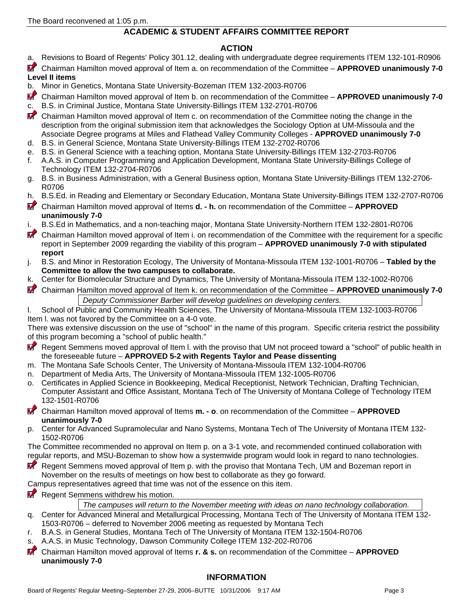## **ACADEMIC & STUDENT AFFAIRS COMMITTEE REPORT**

### **ACTION**

- a. Revisions to Board of Regents' Policy 301.12, dealing with undergraduate degree requirements ITEM 132-101-R0906
- $\boldsymbol{u}$ Chairman Hamilton moved approval of Item a. on recommendation of the Committee – **APPROVED unanimously 7-0 Level II items**
- b. Minor in Genetics, Montana State University-Bozeman ITEM 132-2003-R0706
- V Chairman Hamilton moved approval of Item b. on recommendation of the Committee – **APPROVED unanimously 7-0**
- c. B.S. in Criminal Justice, Montana State University-Billings ITEM 132-2701-R0706
- Chairman Hamilton moved approval of Item c. on recommendation of the Committee noting the change in the description from the original submission item that acknowledges the Sociology Option at UM-Missoula and the Associate Degree programs at Miles and Flathead Valley Community Colleges - **APPROVED unanimously 7-0**
- d. B.S. in General Science, Montana State University-Billings ITEM 132-2702-R0706 e. B.S. in General Science with a teaching option, Montana State University-Billings ITEM 132-2703-R0706
- f. A.A.S. in Computer Programming and Application Development, Montana State University-Billings College of Technology ITEM 132-2704-R0706
- g. B.S. in Business Administration, with a General Business option, Montana State University-Billings ITEM 132-2706- R0706
- h. B.S.Ed. in Reading and Elementary or Secondary Education, Montana State University-Billings ITEM 132-2707-R0706
- $\boldsymbol{V}$ Chairman Hamilton moved approval of Items **d. - h.** on recommendation of the Committee – **APPROVED unanimously 7-0**
- i. B.S.Ed in Mathematics, and a non-teaching major, Montana State University-Northern ITEM 132-2801-R0706
- $\boldsymbol{v}$ Chairman Hamilton moved approval of Item i. on recommendation of the Committee with the requirement for a specific report in September 2009 regarding the viability of this program – **APPROVED unanimously 7-0 with stipulated report**
- j. B.S. and Minor in Restoration Ecology, The University of Montana-Missoula ITEM 132-1001-R0706 **Tabled by the Committee to allow the two campuses to collaborate.**
- k. Center for Biomolecular Structure and Dynamics, The University of Montana-Missoula ITEM 132-1002-R0706
- $\boldsymbol{\sigma}$ Chairman Hamilton moved approval of Item k. on recommendation of the Committee – **APPROVED unanimously 7-0**  *Deputy Commissioner Barber will develop guidelines on developing centers.*
- l. School of Public and Community Health Sciences, The University of Montana-Missoula ITEM 132-1003-R0706 Item l. was not favored by the Committee on a 4-0 vote.

There was extensive discussion on the use of "school" in the name of this program. Specific criteria restrict the possibility of this program becoming a "school of public health."

- **V** Regent Semmens moved approval of Item l. with the proviso that UM not proceed toward a "school" of public health in the foreseeable future – **APPROVED 5-2 with Regents Taylor and Pease dissenting**
- m. The Montana Safe Schools Center, The University of Montana-Missoula ITEM 132-1004-R0706
- n. Department of Media Arts, The University of Montana-Missoula ITEM 132-1005-R0706
- o. Certificates in Applied Science in Bookkeeping, Medical Receptionist, Network Technician, Drafting Technician, Computer Assistant and Office Assistant, Montana Tech of The University of Montana College of Technology ITEM 132-1501-R0706

Chairman Hamilton moved approval of Items **m. - o**. on recommendation of the Committee – **APPROVED unanimously 7-0** 

- p. Center for Advanced Supramolecular and Nano Systems, Montana Tech of The University of Montana ITEM 132- 1502-R0706
- The Committee recommended no approval on Item p. on a 3-1 vote, and recommended continued collaboration with regular reports, and MSU-Bozeman to show how a systemwide program would look in regard to nano technologies.
- Regent Semmens moved approval of Item p. with the proviso that Montana Tech, UM and Bozeman report in November on the results of meetings on how best to collaborate as they go forward.
- Campus representatives agreed that time was not of the essence on this item.
- Regent Semmens withdrew his motion.

*The campuses will return to the November meeting with ideas on nano technology collaboration.* 

- q. Center for Advanced Mineral and Metallurgical Processing, Montana Tech of The University of Montana ITEM 132- 1503-R0706 – deferred to November 2006 meeting as requested by Montana Tech
- r. B.A.S. in General Studies, Montana Tech of The University of Montana ITEM 132-1504-R0706
- s. A.A.S. in Music Technology, Dawson Community College ITEM 132-202-R0706
- $\boldsymbol{V}$ Chairman Hamilton moved approval of Items **r. & s.** on recommendation of the Committee – **APPROVED unanimously 7-0**

# **INFORMATION**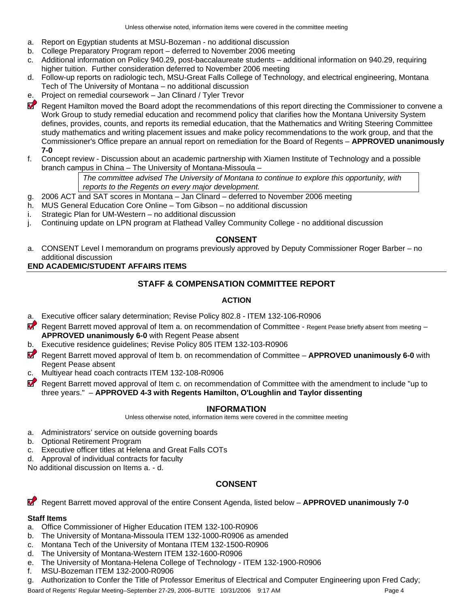- a. Report on Egyptian students at MSU-Bozeman no additional discussion
- b. College Preparatory Program report deferred to November 2006 meeting
- c. Additional information on Policy 940.29, post-baccalaureate students additional information on 940.29, requiring higher tuition. Further consideration deferred to November 2006 meeting
- d. Follow-up reports on radiologic tech, MSU-Great Falls College of Technology, and electrical engineering, Montana Tech of The University of Montana – no additional discussion
- e. Project on remedial coursework Jan Clinard / Tyler Trevor
- **Regent Hamilton moved the Board adopt the recommendations of this report directing the Commissioner to convene a** Work Group to study remedial education and recommend policy that clarifies how the Montana University System defines, provides, counts, and reports its remedial education, that the Mathematics and Writing Steering Committee study mathematics and writing placement issues and make policy recommendations to the work group, and that the Commissioner's Office prepare an annual report on remediation for the Board of Regents – **APPROVED unanimously 7-0**
- f. Concept review Discussion about an academic partnership with Xiamen Institute of Technology and a possible branch campus in China – The University of Montana-Missoula –

*The committee advised The University of Montana to continue to explore this opportunity, with reports to the Regents on every major development.* 

- g. 2006 ACT and SAT scores in Montana Jan Clinard deferred to November 2006 meeting
- h. MUS General Education Core Online Tom Gibson no additional discussion
- i. Strategic Plan for UM-Western no additional discussion
- j. Continuing update on LPN program at Flathead Valley Community College no additional discussion

### **CONSENT**

a. CONSENT Level I memorandum on programs previously approved by Deputy Commissioner Roger Barber – no additional discussion

#### **END ACADEMIC/STUDENT AFFAIRS ITEMS**

# **STAFF & COMPENSATION COMMITTEE REPORT**

### **ACTION**

- a. Executive officer salary determination; Revise Policy 802.8 ITEM 132-106-R0906
- Regent Barrett moved approval of Item a. on recommendation of Committee Regent Pease briefly absent from meeting **APPROVED unanimously 6-0** with Regent Pease absent
- b. Executive residence guidelines; Revise Policy 805 ITEM 132-103-R0906
- Regent Barrett moved approval of Item b. on recommendation of Committee **APPROVED unanimously 6-0** with Regent Pease absent
- c. Multiyear head coach contracts ITEM 132-108-R0906
- Regent Barrett moved approval of Item c. on recommendation of Committee with the amendment to include "up to three years." – **APPROVED 4-3 with Regents Hamilton, O'Loughlin and Taylor dissenting**

### **INFORMATION**

Unless otherwise noted, information items were covered in the committee meeting

- a. Administrators' service on outside governing boards
- b. Optional Retirement Program
- c. Executive officer titles at Helena and Great Falls COTs
- d. Approval of individual contracts for faculty

No additional discussion on Items a. - d.

# **CONSENT**

 $\boldsymbol{v}$ Regent Barrett moved approval of the entire Consent Agenda, listed below – **APPROVED unanimously 7-0** 

### **Staff Items**

- a. Office Commissioner of Higher Education ITEM 132-100-R0906
- b. The University of Montana-Missoula ITEM 132-1000-R0906 as amended
- c. Montana Tech of the University of Montana ITEM 132-1500-R0906
- d. The University of Montana-Western ITEM 132-1600-R0906
- e. The University of Montana-Helena College of Technology ITEM 132-1900-R0906
- f. MSU-Bozeman ITEM 132-2000-R0906
- g. Authorization to Confer the Title of Professor Emeritus of Electrical and Computer Engineering upon Fred Cady;

Board of Regents' Regular Meeting–September 27-29, 2006–BUTTE 10/31/2006 9:17 AM Page 4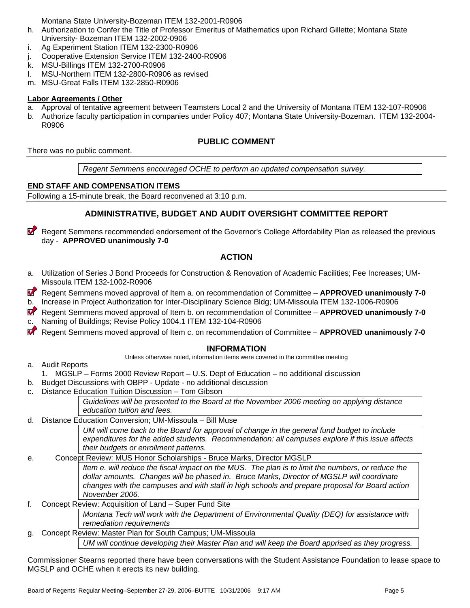Montana State University-Bozeman ITEM 132-2001-R0906

- h. Authorization to Confer the Title of Professor Emeritus of Mathematics upon Richard Gillette; Montana State University- Bozeman ITEM 132-2002-0906
- i. Ag Experiment Station ITEM 132-2300-R0906
- j. Cooperative Extension Service ITEM 132-2400-R0906
- k. MSU-Billings ITEM 132-2700-R0906
- l. MSU-Northern ITEM 132-2800-R0906 as revised
- m. MSU-Great Falls ITEM 132-2850-R0906

#### **Labor Agreements / Other**

- a. Approval of tentative agreement between Teamsters Local 2 and the University of Montana ITEM 132-107-R0906
- b. Authorize faculty participation in companies under Policy 407; Montana State University-Bozeman. ITEM 132-2004- R0906

## **PUBLIC COMMENT**

There was no public comment.

*Regent Semmens encouraged OCHE to perform an updated compensation survey.*

#### **END STAFF AND COMPENSATION ITEMS**

Following a 15-minute break, the Board reconvened at 3:10 p.m.

## **ADMINISTRATIVE, BUDGET AND AUDIT OVERSIGHT COMMITTEE REPORT**

V Regent Semmens recommended endorsement of the Governor's College Affordability Plan as released the previous day - **APPROVED unanimously 7-0**

### **ACTION**

a. Utilization of Series J Bond Proceeds for Construction & Renovation of Academic Facilities; Fee Increases; UM-Missoula ITEM 132-1002-R0906

 Regent Semmens moved approval of Item a. on recommendation of Committee – **APPROVED unanimously 7-0**  b. Increase in Project Authorization for Inter-Disciplinary Science Bldg; UM-Missoula ITEM 132-1006-R0906

 $\boldsymbol{v}$  Regent Semmens moved approval of Item b. on recommendation of Committee – **APPROVED unanimously 7-0** c. Naming of Buildings; Revise Policy 1004.1 ITEM 132-104-R0906

Regent Semmens moved approval of Item c. on recommendation of Committee – **APPROVED unanimously 7-0**

### **INFORMATION**

Unless otherwise noted, information items were covered in the committee meeting

- a. Audit Reports
	- 1. MGSLP Forms 2000 Review Report U.S. Dept of Education no additional discussion
- b. Budget Discussions with OBPP Update no additional discussion
- c. Distance Education Tuition Discussion Tom Gibson

*Guidelines will be presented to the Board at the November 2006 meeting on applying distance education tuition and fees.* 

d. Distance Education Conversion; UM-Missoula – Bill Muse

*UM will come back to the Board for approval of change in the general fund budget to include expenditures for the added students. Recommendation: all campuses explore if this issue affects their budgets or enrollment patterns.* 

#### e. Concept Review: MUS Honor Scholarships - Bruce Marks, Director MGSLP

*Item e. will reduce the fiscal impact on the MUS. The plan is to limit the numbers, or reduce the dollar amounts. Changes will be phased in. Bruce Marks, Director of MGSLP will coordinate changes with the campuses and with staff in high schools and prepare proposal for Board action November 2006.* 

f. Concept Review: Acquisition of Land – Super Fund Site

*Montana Tech will work with the Department of Environmental Quality (DEQ) for assistance with remediation requirements* 

g. Concept Review: Master Plan for South Campus; UM-Missoula *UM will continue developing their Master Plan and will keep the Board apprised as they progress.*

Commissioner Stearns reported there have been conversations with the Student Assistance Foundation to lease space to MGSLP and OCHE when it erects its new building.